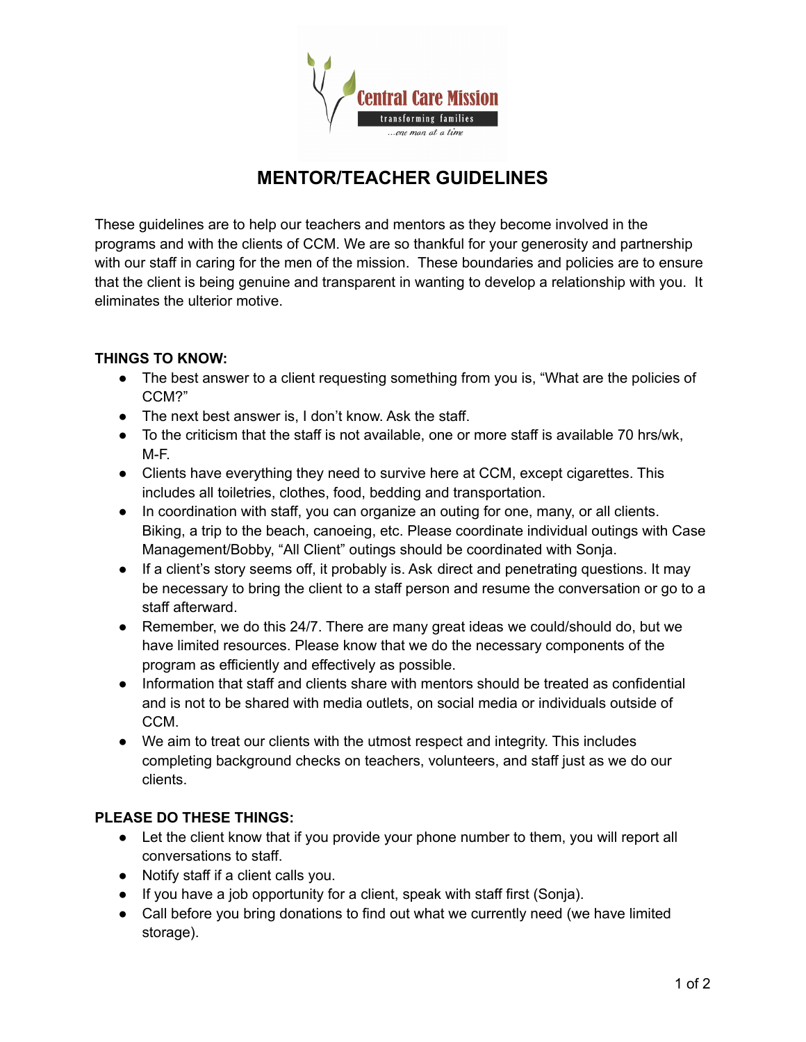

## **MENTOR/TEACHER GUIDELINES**

These guidelines are to help our teachers and mentors as they become involved in the programs and with the clients of CCM. We are so thankful for your generosity and partnership with our staff in caring for the men of the mission. These boundaries and policies are to ensure that the client is being genuine and transparent in wanting to develop a relationship with you. It eliminates the ulterior motive.

## **THINGS TO KNOW:**

- The best answer to a client requesting something from you is, "What are the policies of CCM?"
- The next best answer is, I don't know. Ask the staff.
- To the criticism that the staff is not available, one or more staff is available 70 hrs/wk, M-F.
- Clients have everything they need to survive here at CCM, except cigarettes. This includes all toiletries, clothes, food, bedding and transportation.
- In coordination with staff, you can organize an outing for one, many, or all clients. Biking, a trip to the beach, canoeing, etc. Please coordinate individual outings with Case Management/Bobby, "All Client" outings should be coordinated with Sonja.
- If a client's story seems off, it probably is. Ask direct and penetrating questions. It may be necessary to bring the client to a staff person and resume the conversation or go to a staff afterward.
- Remember, we do this 24/7. There are many great ideas we could/should do, but we have limited resources. Please know that we do the necessary components of the program as efficiently and effectively as possible.
- Information that staff and clients share with mentors should be treated as confidential and is not to be shared with media outlets, on social media or individuals outside of CCM.
- We aim to treat our clients with the utmost respect and integrity. This includes completing background checks on teachers, volunteers, and staff just as we do our clients.

## **PLEASE DO THESE THINGS:**

- Let the client know that if you provide your phone number to them, you will report all conversations to staff.
- Notify staff if a client calls you.
- If you have a job opportunity for a client, speak with staff first (Sonja).
- Call before you bring donations to find out what we currently need (we have limited storage).